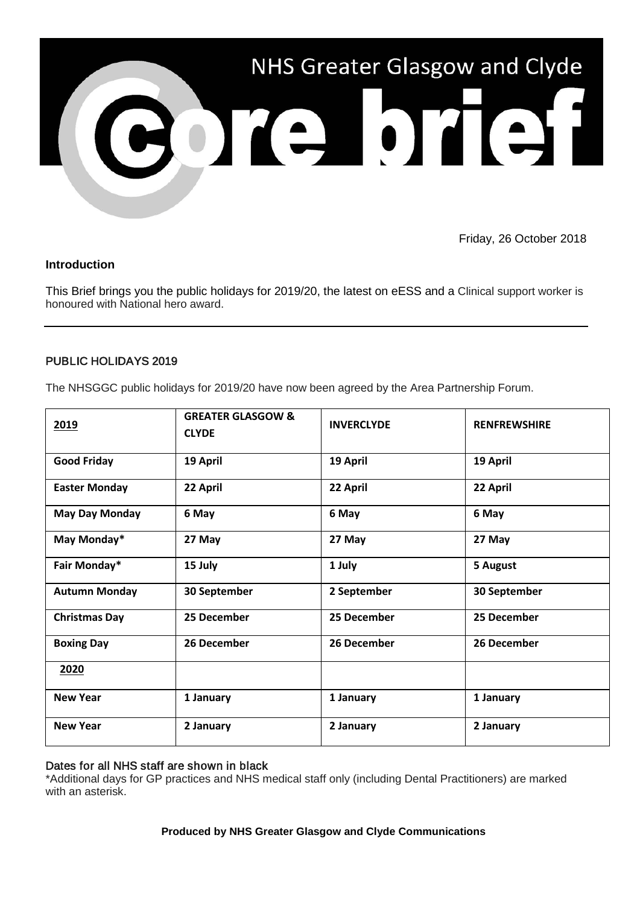

Friday, 26 October 2018

# **Introduction**

This Brief brings you the public holidays for 2019/20, the latest on eESS and a Clinical support worker is honoured with National hero award.

# PUBLIC HOLIDAYS 2019

The NHSGGC public holidays for 2019/20 have now been agreed by the Area Partnership Forum.

| 2019                  | <b>GREATER GLASGOW &amp;</b><br><b>CLYDE</b> | <b>INVERCLYDE</b> | <b>RENFREWSHIRE</b> |
|-----------------------|----------------------------------------------|-------------------|---------------------|
| <b>Good Friday</b>    | 19 April                                     | 19 April          | 19 April            |
| <b>Easter Monday</b>  | 22 April                                     | 22 April          | 22 April            |
| <b>May Day Monday</b> | 6 May                                        | 6 May             | 6 May               |
| May Monday*           | 27 May                                       | 27 May            | 27 May              |
| Fair Monday*          | 15 July                                      | 1 July            | 5 August            |
| <b>Autumn Monday</b>  | 30 September                                 | 2 September       | 30 September        |
| <b>Christmas Day</b>  | 25 December                                  | 25 December       | 25 December         |
| <b>Boxing Day</b>     | 26 December                                  | 26 December       | 26 December         |
| 2020                  |                                              |                   |                     |
| <b>New Year</b>       | 1 January                                    | 1 January         | 1 January           |
| <b>New Year</b>       | 2 January                                    | 2 January         | 2 January           |

### Dates for all NHS staff are shown in black

\*Additional days for GP practices and NHS medical staff only (including Dental Practitioners) are marked with an asterisk.

### **Produced by NHS Greater Glasgow and Clyde Communications**